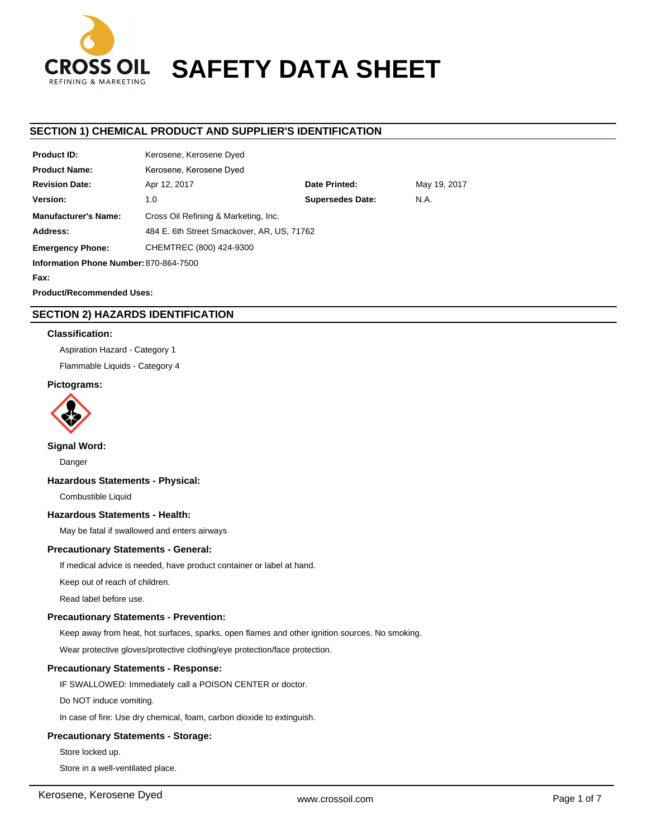

# **SAFETY DATA SHEET**

## **SECTION 1) CHEMICAL PRODUCT AND SUPPLIER'S IDENTIFICATION**

| <b>Product ID:</b>                     | Kerosene, Kerosene Dyed                    |                         |              |  |
|----------------------------------------|--------------------------------------------|-------------------------|--------------|--|
| <b>Product Name:</b>                   | Kerosene, Kerosene Dyed                    |                         |              |  |
| <b>Revision Date:</b>                  | Apr 12, 2017                               | Date Printed:           | May 19, 2017 |  |
| Version:                               | 1.0                                        | <b>Supersedes Date:</b> | N.A.         |  |
| <b>Manufacturer's Name:</b>            | Cross Oil Refining & Marketing, Inc.       |                         |              |  |
| Address:                               | 484 E. 6th Street Smackover, AR, US, 71762 |                         |              |  |
| <b>Emergency Phone:</b>                | CHEMTREC (800) 424-9300                    |                         |              |  |
| Information Phone Number: 870-864-7500 |                                            |                         |              |  |
| Fax:                                   |                                            |                         |              |  |

**Product/Recommended Uses:** 

# **SECTION 2) HAZARDS IDENTIFICATION**

## **Classification:**

Aspiration Hazard - Category 1

Flammable Liquids - Category 4

## **Pictograms:**



## **Signal Word:**

Danger

## **Hazardous Statements - Physical:**

Combustible Liquid

## **Hazardous Statements - Health:**

May be fatal if swallowed and enters airways

## **Precautionary Statements - General:**

If medical advice is needed, have product container or label at hand.

Keep out of reach of children.

Read label before use.

## **Precautionary Statements - Prevention:**

Keep away from heat, hot surfaces, sparks, open flames and other ignition sources. No smoking.

Wear protective gloves/protective clothing/eye protection/face protection.

## **Precautionary Statements - Response:**

IF SWALLOWED: Immediately call a POISON CENTER or doctor.

Do NOT induce vomiting.

In case of fire: Use dry chemical, foam, carbon dioxide to extinguish.

## **Precautionary Statements - Storage:**

Store locked up.

Store in a well-ventilated place.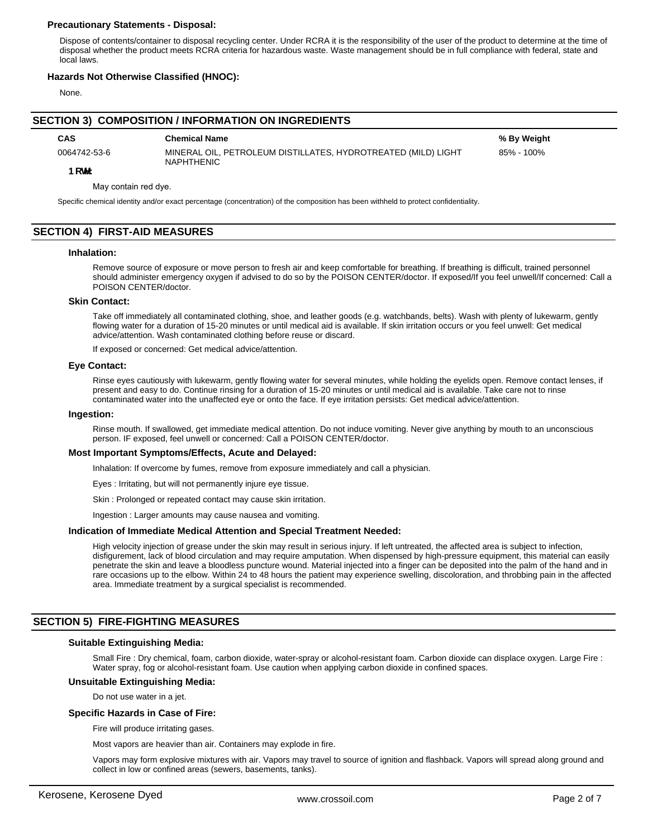## **Precautionary Statements - Disposal:**

Dispose of contents/container to disposal recycling center. Under RCRA it is the responsibility of the user of the product to determine at the time of disposal whether the product meets RCRA criteria for hazardous waste. Waste management should be in full compliance with federal, state and local laws.

## **Hazards Not Otherwise Classified (HNOC):**

None.

## **SECTION 3) COMPOSITION / INFORMATION ON INGREDIENTS**

BchY:

0064742-53-6 MINERAL OIL, PETROLEUM DISTILLATES, HYDROTREATED (MILD) LIGHT NAPHTHENIC

**CAS Chemical Name % By Weight** 85% - 100%

May contain red dye.

Specific chemical identity and/or exact percentage (concentration) of the composition has been withheld to protect confidentiality.

## **SECTION 4) FIRST-AID MEASURES**

#### **Inhalation:**

Remove source of exposure or move person to fresh air and keep comfortable for breathing. If breathing is difficult, trained personnel should administer emergency oxygen if advised to do so by the POISON CENTER/doctor. If exposed/If you feel unwell/If concerned: Call a POISON CENTER/doctor.

## **Skin Contact:**

Take off immediately all contaminated clothing, shoe, and leather goods (e.g. watchbands, belts). Wash with plenty of lukewarm, gently flowing water for a duration of 15-20 minutes or until medical aid is available. If skin irritation occurs or you feel unwell: Get medical advice/attention. Wash contaminated clothing before reuse or discard.

If exposed or concerned: Get medical advice/attention.

## **Eye Contact:**

Rinse eyes cautiously with lukewarm, gently flowing water for several minutes, while holding the eyelids open. Remove contact lenses, if present and easy to do. Continue rinsing for a duration of 15-20 minutes or until medical aid is available. Take care not to rinse contaminated water into the unaffected eye or onto the face. If eye irritation persists: Get medical advice/attention.

#### **Ingestion:**

Rinse mouth. If swallowed, get immediate medical attention. Do not induce vomiting. Never give anything by mouth to an unconscious person. IF exposed, feel unwell or concerned: Call a POISON CENTER/doctor.

#### **Most Important Symptoms/Effects, Acute and Delayed:**

Inhalation: If overcome by fumes, remove from exposure immediately and call a physician.

Eyes : Irritating, but will not permanently injure eye tissue.

Skin : Prolonged or repeated contact may cause skin irritation.

Ingestion : Larger amounts may cause nausea and vomiting.

#### **Indication of Immediate Medical Attention and Special Treatment Needed:**

High velocity injection of grease under the skin may result in serious injury. If left untreated, the affected area is subject to infection, disfigurement, lack of blood circulation and may require amputation. When dispensed by high-pressure equipment, this material can easily penetrate the skin and leave a bloodless puncture wound. Material injected into a finger can be deposited into the palm of the hand and in rare occasions up to the elbow. Within 24 to 48 hours the patient may experience swelling, discoloration, and throbbing pain in the affected area. Immediate treatment by a surgical specialist is recommended.

## **SECTION 5) FIRE-FIGHTING MEASURES**

#### **Suitable Extinguishing Media:**

Small Fire : Dry chemical, foam, carbon dioxide, water-spray or alcohol-resistant foam. Carbon dioxide can displace oxygen. Large Fire : Water spray, fog or alcohol-resistant foam. Use caution when applying carbon dioxide in confined spaces.

#### **Unsuitable Extinguishing Media:**

Do not use water in a jet.

## **Specific Hazards in Case of Fire:**

Fire will produce irritating gases.

Most vapors are heavier than air. Containers may explode in fire.

Vapors may form explosive mixtures with air. Vapors may travel to source of ignition and flashback. Vapors will spread along ground and collect in low or confined areas (sewers, basements, tanks).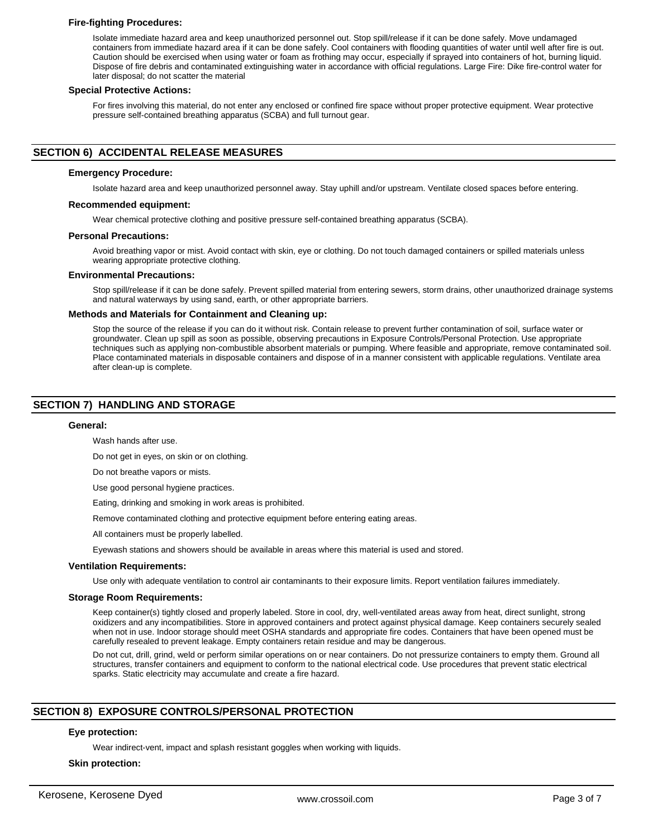## **Fire-fighting Procedures:**

Isolate immediate hazard area and keep unauthorized personnel out. Stop spill/release if it can be done safely. Move undamaged containers from immediate hazard area if it can be done safely. Cool containers with flooding quantities of water until well after fire is out. Caution should be exercised when using water or foam as frothing may occur, especially if sprayed into containers of hot, burning liquid. Dispose of fire debris and contaminated extinguishing water in accordance with official regulations. Large Fire: Dike fire-control water for later disposal; do not scatter the material

#### **Special Protective Actions:**

For fires involving this material, do not enter any enclosed or confined fire space without proper protective equipment. Wear protective pressure self-contained breathing apparatus (SCBA) and full turnout gear.

## **SECTION 6) ACCIDENTAL RELEASE MEASURES**

#### **Emergency Procedure:**

Isolate hazard area and keep unauthorized personnel away. Stay uphill and/or upstream. Ventilate closed spaces before entering.

## **Recommended equipment:**

Wear chemical protective clothing and positive pressure self-contained breathing apparatus (SCBA).

#### **Personal Precautions:**

Avoid breathing vapor or mist. Avoid contact with skin, eye or clothing. Do not touch damaged containers or spilled materials unless wearing appropriate protective clothing.

#### **Environmental Precautions:**

Stop spill/release if it can be done safely. Prevent spilled material from entering sewers, storm drains, other unauthorized drainage systems and natural waterways by using sand, earth, or other appropriate barriers.

#### **Methods and Materials for Containment and Cleaning up:**

Stop the source of the release if you can do it without risk. Contain release to prevent further contamination of soil, surface water or groundwater. Clean up spill as soon as possible, observing precautions in Exposure Controls/Personal Protection. Use appropriate techniques such as applying non-combustible absorbent materials or pumping. Where feasible and appropriate, remove contaminated soil. Place contaminated materials in disposable containers and dispose of in a manner consistent with applicable regulations. Ventilate area after clean-up is complete.

## **SECTION 7) HANDLING AND STORAGE**

#### **General:**

Wash hands after use.

Do not get in eyes, on skin or on clothing.

Do not breathe vapors or mists.

Use good personal hygiene practices.

Eating, drinking and smoking in work areas is prohibited.

Remove contaminated clothing and protective equipment before entering eating areas.

All containers must be properly labelled.

Eyewash stations and showers should be available in areas where this material is used and stored.

#### **Ventilation Requirements:**

Use only with adequate ventilation to control air contaminants to their exposure limits. Report ventilation failures immediately.

#### **Storage Room Requirements:**

Keep container(s) tightly closed and properly labeled. Store in cool, dry, well-ventilated areas away from heat, direct sunlight, strong oxidizers and any incompatibilities. Store in approved containers and protect against physical damage. Keep containers securely sealed when not in use. Indoor storage should meet OSHA standards and appropriate fire codes. Containers that have been opened must be carefully resealed to prevent leakage. Empty containers retain residue and may be dangerous.

Do not cut, drill, grind, weld or perform similar operations on or near containers. Do not pressurize containers to empty them. Ground all structures, transfer containers and equipment to conform to the national electrical code. Use procedures that prevent static electrical sparks. Static electricity may accumulate and create a fire hazard.

## **SECTION 8) EXPOSURE CONTROLS/PERSONAL PROTECTION**

## **Eye protection:**

Wear indirect-vent, impact and splash resistant goggles when working with liquids.

#### **Skin protection:**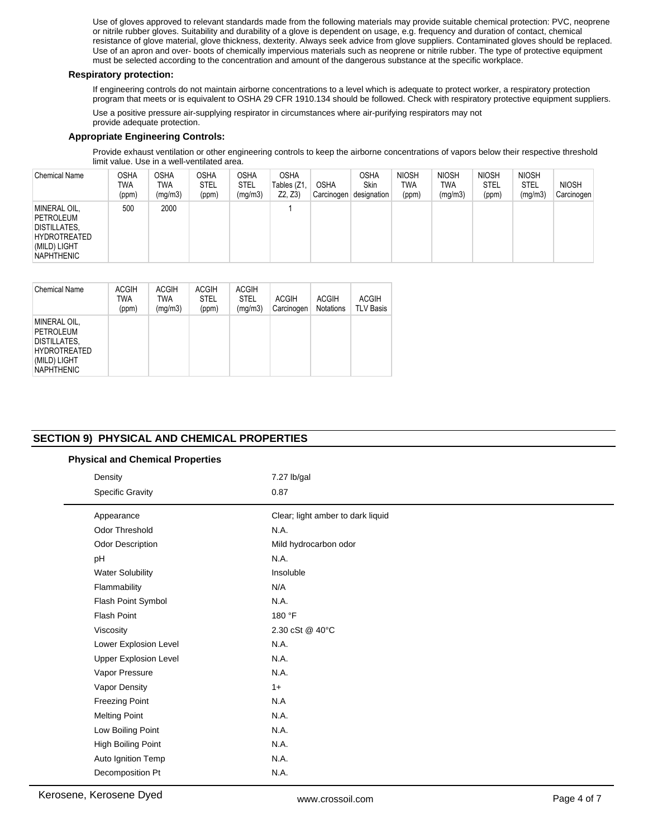Use of gloves approved to relevant standards made from the following materials may provide suitable chemical protection: PVC, neoprene or nitrile rubber gloves. Suitability and durability of a glove is dependent on usage, e.g. frequency and duration of contact, chemical resistance of glove material, glove thickness, dexterity. Always seek advice from glove suppliers. Contaminated gloves should be replaced. Use of an apron and over- boots of chemically impervious materials such as neoprene or nitrile rubber. The type of protective equipment must be selected according to the concentration and amount of the dangerous substance at the specific workplace.

## **Respiratory protection:**

If engineering controls do not maintain airborne concentrations to a level which is adequate to protect worker, a respiratory protection program that meets or is equivalent to OSHA 29 CFR 1910.134 should be followed. Check with respiratory protective equipment suppliers.

Use a positive pressure air-supplying respirator in circumstances where air-purifying respirators may not provide adequate protection.

# **Appropriate Engineering Controls:**

Provide exhaust ventilation or other engineering controls to keep the airborne concentrations of vapors below their respective threshold limit value. Use in a well-ventilated area.

| <b>Chemical Name</b>                                                                                  | OSHA<br>TWA<br>(ppm) | <b>OSHA</b><br><b>TWA</b><br>(mg/m3) | <b>OSHA</b><br><b>STEL</b><br>(ppm) | <b>OSHA</b><br><b>STEL</b><br>(mg/m3) | <b>OSHA</b><br>Tables (Z1<br>Z2, Z3 | <b>OSHA</b><br>Carcinogen | <b>OSHA</b><br>Skin<br>designation | <b>NIOSH</b><br>TWA<br>(ppm) | <b>NIOSH</b><br>TWA<br>(mg/m3) | <b>NIOSH</b><br><b>STEL</b><br>(ppm) | <b>NIOSH</b><br><b>STEL</b><br>(mg/m3) | <b>NIOSH</b><br>Carcinogen |
|-------------------------------------------------------------------------------------------------------|----------------------|--------------------------------------|-------------------------------------|---------------------------------------|-------------------------------------|---------------------------|------------------------------------|------------------------------|--------------------------------|--------------------------------------|----------------------------------------|----------------------------|
| MINERAL OIL,<br>PETROLEUM<br><b>DISTILLATES,</b><br>HYDROTREATED<br>(MILD) LIGHT<br><b>NAPHTHENIC</b> | 500                  | 2000                                 |                                     |                                       |                                     |                           |                                    |                              |                                |                                      |                                        |                            |

| <b>Chemical Name</b>                                                                                  | <b>ACGIH</b><br><b>TWA</b><br>(ppm) | <b>ACGIH</b><br>TWA<br>(mq/m3) | <b>ACGIH</b><br><b>STEL</b><br>(ppm) | <b>ACGIH</b><br><b>STEL</b><br>(mg/m3) | <b>ACGIH</b><br>Carcinogen | <b>ACGIH</b><br><b>Notations</b> | <b>ACGIH</b><br><b>TLV Basis</b> |
|-------------------------------------------------------------------------------------------------------|-------------------------------------|--------------------------------|--------------------------------------|----------------------------------------|----------------------------|----------------------------------|----------------------------------|
| MINERAL OIL,<br>PETROLEUM<br>DISTILLATES.<br><b>HYDROTREATED</b><br>(MILD) LIGHT<br><b>NAPHTHENIC</b> |                                     |                                |                                      |                                        |                            |                                  |                                  |

## **SECTION 9) PHYSICAL AND CHEMICAL PROPERTIES**

|  |  | <b>Physical and Chemical Properties</b> |  |  |
|--|--|-----------------------------------------|--|--|
|--|--|-----------------------------------------|--|--|

| Clear; light amber to dark liquid<br>Appearance<br>Odor Threshold<br>N.A.<br>Odor Description<br>Mild hydrocarbon odor<br>N.A.<br>pH<br>Insoluble<br><b>Water Solubility</b><br>N/A<br>Flammability<br>Flash Point Symbol<br>N.A.<br>Flash Point<br>180 °F<br>2.30 cSt @ 40°C<br>Viscosity<br>N.A.<br>Lower Explosion Level<br>N.A.<br><b>Upper Explosion Level</b><br>N.A.<br>Vapor Pressure<br>Vapor Density<br>$1+$<br><b>Freezing Point</b><br>N.A<br>N.A.<br><b>Melting Point</b><br>Low Boiling Point<br>N.A.<br>High Boiling Point<br>N.A.<br>N.A.<br>Auto Ignition Temp<br>N.A. | Density<br><b>Specific Gravity</b> | 7.27 lb/gal<br>0.87 |
|-----------------------------------------------------------------------------------------------------------------------------------------------------------------------------------------------------------------------------------------------------------------------------------------------------------------------------------------------------------------------------------------------------------------------------------------------------------------------------------------------------------------------------------------------------------------------------------------|------------------------------------|---------------------|
|                                                                                                                                                                                                                                                                                                                                                                                                                                                                                                                                                                                         |                                    |                     |
|                                                                                                                                                                                                                                                                                                                                                                                                                                                                                                                                                                                         |                                    |                     |
|                                                                                                                                                                                                                                                                                                                                                                                                                                                                                                                                                                                         |                                    |                     |
|                                                                                                                                                                                                                                                                                                                                                                                                                                                                                                                                                                                         |                                    |                     |
|                                                                                                                                                                                                                                                                                                                                                                                                                                                                                                                                                                                         |                                    |                     |
|                                                                                                                                                                                                                                                                                                                                                                                                                                                                                                                                                                                         |                                    |                     |
|                                                                                                                                                                                                                                                                                                                                                                                                                                                                                                                                                                                         |                                    |                     |
|                                                                                                                                                                                                                                                                                                                                                                                                                                                                                                                                                                                         |                                    |                     |
|                                                                                                                                                                                                                                                                                                                                                                                                                                                                                                                                                                                         |                                    |                     |
|                                                                                                                                                                                                                                                                                                                                                                                                                                                                                                                                                                                         |                                    |                     |
|                                                                                                                                                                                                                                                                                                                                                                                                                                                                                                                                                                                         |                                    |                     |
|                                                                                                                                                                                                                                                                                                                                                                                                                                                                                                                                                                                         |                                    |                     |
|                                                                                                                                                                                                                                                                                                                                                                                                                                                                                                                                                                                         |                                    |                     |
|                                                                                                                                                                                                                                                                                                                                                                                                                                                                                                                                                                                         |                                    |                     |
|                                                                                                                                                                                                                                                                                                                                                                                                                                                                                                                                                                                         |                                    |                     |
|                                                                                                                                                                                                                                                                                                                                                                                                                                                                                                                                                                                         |                                    |                     |
|                                                                                                                                                                                                                                                                                                                                                                                                                                                                                                                                                                                         |                                    |                     |
|                                                                                                                                                                                                                                                                                                                                                                                                                                                                                                                                                                                         |                                    |                     |
|                                                                                                                                                                                                                                                                                                                                                                                                                                                                                                                                                                                         |                                    |                     |
|                                                                                                                                                                                                                                                                                                                                                                                                                                                                                                                                                                                         | Decomposition Pt                   |                     |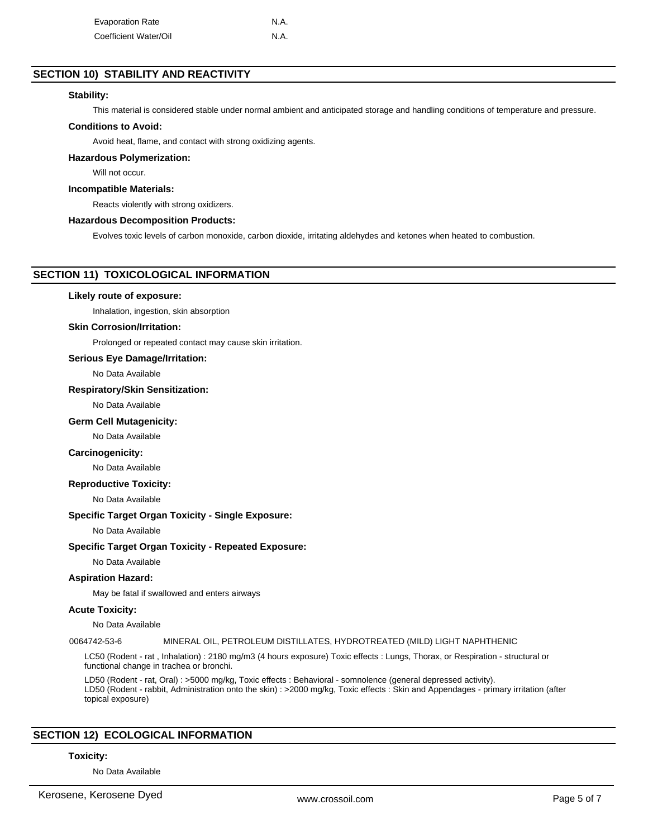| <b>Evaporation Rate</b> | N.A. |
|-------------------------|------|
| Coefficient Water/Oil   | N.A. |

## **SECTION 10) STABILITY AND REACTIVITY**

## **Stability:**

This material is considered stable under normal ambient and anticipated storage and handling conditions of temperature and pressure.

## **Conditions to Avoid:**

Avoid heat, flame, and contact with strong oxidizing agents.

## **Hazardous Polymerization:**

Will not occur.

#### **Incompatible Materials:**

Reacts violently with strong oxidizers.

## **Hazardous Decomposition Products:**

Evolves toxic levels of carbon monoxide, carbon dioxide, irritating aldehydes and ketones when heated to combustion.

## **SECTION 11) TOXICOLOGICAL INFORMATION**

#### **Likely route of exposure:**

Inhalation, ingestion, skin absorption

#### **Skin Corrosion/Irritation:**

Prolonged or repeated contact may cause skin irritation.

## **Serious Eye Damage/Irritation:**

No Data Available

## **Respiratory/Skin Sensitization:**

No Data Available

#### **Germ Cell Mutagenicity:**

No Data Available

#### **Carcinogenicity:**

No Data Available

#### **Reproductive Toxicity:**

No Data Available

#### **Specific Target Organ Toxicity - Single Exposure:**

No Data Available

## **Specific Target Organ Toxicity - Repeated Exposure:**

No Data Available

## **Aspiration Hazard:**

May be fatal if swallowed and enters airways

## **Acute Toxicity:**

No Data Available

#### 0064742-53-6 MINERAL OIL, PETROLEUM DISTILLATES, HYDROTREATED (MILD) LIGHT NAPHTHENIC

LC50 (Rodent - rat , Inhalation) : 2180 mg/m3 (4 hours exposure) Toxic effects : Lungs, Thorax, or Respiration - structural or functional change in trachea or bronchi.

LD50 (Rodent - rat, Oral) : >5000 mg/kg, Toxic effects : Behavioral - somnolence (general depressed activity). LD50 (Rodent - rabbit, Administration onto the skin) : >2000 mg/kg, Toxic effects : Skin and Appendages - primary irritation (after topical exposure)

## **SECTION 12) ECOLOGICAL INFORMATION**

#### **Toxicity:**

No Data Available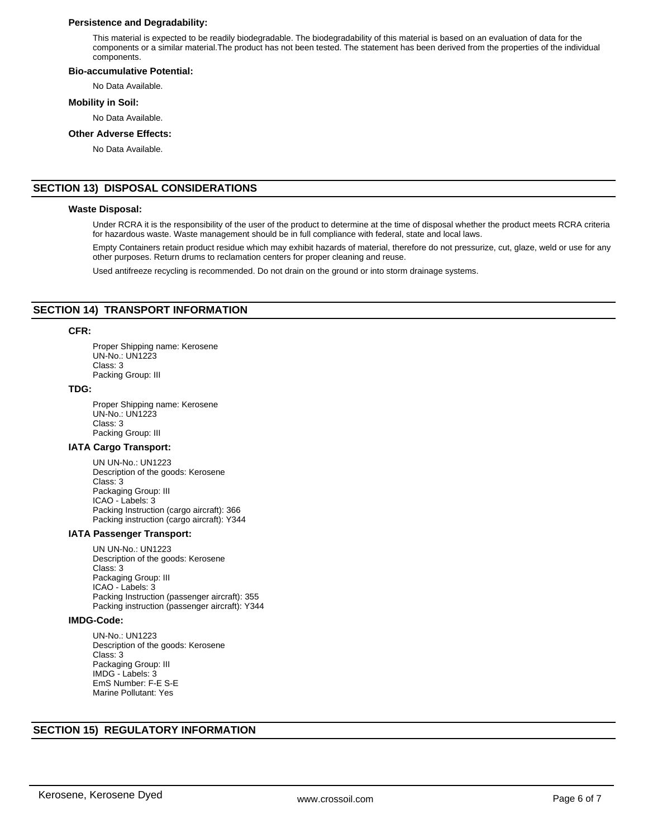## **Persistence and Degradability:**

This material is expected to be readily biodegradable. The biodegradability of this material is based on an evaluation of data for the components or a similar material.The product has not been tested. The statement has been derived from the properties of the individual components.

#### **Bio-accumulative Potential:**

No Data Available.

## **Mobility in Soil:**

No Data Available.

#### **Other Adverse Effects:**

No Data Available.

## **SECTION 13) DISPOSAL CONSIDERATIONS**

## **Waste Disposal:**

Under RCRA it is the responsibility of the user of the product to determine at the time of disposal whether the product meets RCRA criteria for hazardous waste. Waste management should be in full compliance with federal, state and local laws.

Empty Containers retain product residue which may exhibit hazards of material, therefore do not pressurize, cut, glaze, weld or use for any other purposes. Return drums to reclamation centers for proper cleaning and reuse.

Used antifreeze recycling is recommended. Do not drain on the ground or into storm drainage systems.

## **SECTION 14) TRANSPORT INFORMATION**

## **CFR:**

Proper Shipping name: Kerosene UN-No.: UN1223 Class: 3 Packing Group: III

## **TDG:**

Proper Shipping name: Kerosene UN-No.: UN1223 Class: 3 Packing Group: III

## **IATA Cargo Transport:**

UN UN-No.: UN1223 Description of the goods: Kerosene Class: 3 Packaging Group: III ICAO - Labels: 3 Packing Instruction (cargo aircraft): 366 Packing instruction (cargo aircraft): Y344

## **IATA Passenger Transport:**

UN UN-No.: UN1223 Description of the goods: Kerosene Class: 3 Packaging Group: III ICAO - Labels: 3 Packing Instruction (passenger aircraft): 355 Packing instruction (passenger aircraft): Y344

#### **IMDG-Code:**

UN-No.: UN1223 Description of the goods: Kerosene Class: 3 Packaging Group: III IMDG - Labels: 3 EmS Number: F-E S-E Marine Pollutant: Yes

## **SECTION 15) REGULATORY INFORMATION**